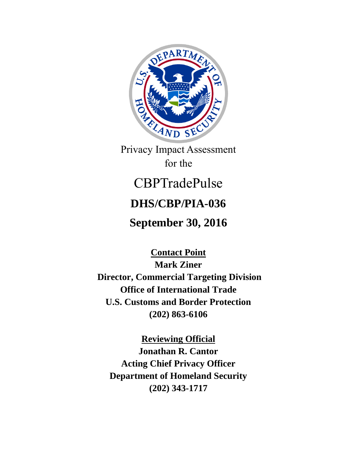

Privacy Impact Assessment for the

# CBPTradePulse

# **DHS/CBP/PIA-036**

# **September 30, 2016**

**Contact Point Mark Ziner Director, Commercial Targeting Division Office of International Trade U.S. Customs and Border Protection (202) 863-6106**

**Reviewing Official Jonathan R. Cantor Acting Chief Privacy Officer Department of Homeland Security (202) 343-1717**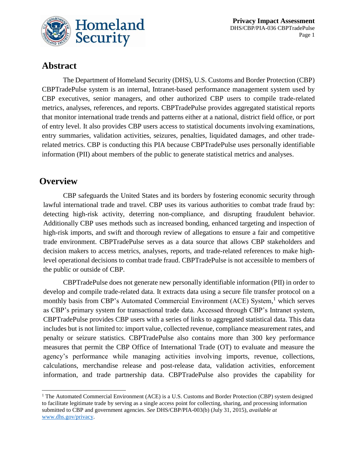

## **Abstract**

The Department of Homeland Security (DHS), U.S. Customs and Border Protection (CBP) CBPTradePulse system is an internal, Intranet-based performance management system used by CBP executives, senior managers, and other authorized CBP users to compile trade-related metrics, analyses, references, and reports. CBPTradePulse provides aggregated statistical reports that monitor international trade trends and patterns either at a national, district field office, or port of entry level. It also provides CBP users access to statistical documents involving examinations, entry summaries, validation activities, seizures, penalties, liquidated damages, and other traderelated metrics. CBP is conducting this PIA because CBPTradePulse uses personally identifiable information (PII) about members of the public to generate statistical metrics and analyses.

### **Overview**

 $\overline{a}$ 

CBP safeguards the United States and its borders by fostering economic security through lawful international trade and travel. CBP uses its various authorities to combat trade fraud by: detecting high-risk activity, deterring non-compliance, and disrupting fraudulent behavior. Additionally CBP uses methods such as increased bonding, enhanced targeting and inspection of high-risk imports, and swift and thorough review of allegations to ensure a fair and competitive trade environment. CBPTradePulse serves as a data source that allows CBP stakeholders and decision makers to access metrics, analyses, reports, and trade-related references to make highlevel operational decisions to combat trade fraud. CBPTradePulse is not accessible to members of the public or outside of CBP.

CBPTradePulse does not generate new personally identifiable information (PII) in order to develop and compile trade-related data. It extracts data using a secure file transfer protocol on a monthly basis from CBP's Automated Commercial Environment (ACE) System,<sup>1</sup> which serves as CBP's primary system for transactional trade data. Accessed through CBP's Intranet system, CBPTradePulse provides CBP users with a series of links to aggregated statistical data. This data includes but is not limited to: import value, collected revenue, compliance measurement rates, and penalty or seizure statistics. CBPTradePulse also contains more than 300 key performance measures that permit the CBP Office of International Trade (OT) to evaluate and measure the agency's performance while managing activities involving imports, revenue, collections, calculations, merchandise release and post-release data, validation activities, enforcement information, and trade partnership data. CBPTradePulse also provides the capability for

<sup>&</sup>lt;sup>1</sup> The Automated Commercial Environment (ACE) is a U.S. Customs and Border Protection (CBP) system designed to facilitate legitimate trade by serving as a single access point for collecting, sharing, and processing information submitted to CBP and government agencies. *See* DHS/CBP/PIA-003(b) (July 31, 2015), *available at* [www.dhs.gov/privacy.](http://www.dhs.gov/privacy)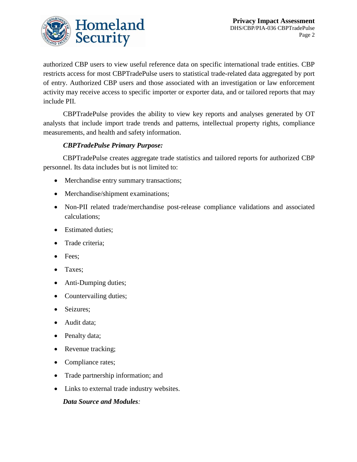

authorized CBP users to view useful reference data on specific international trade entities. CBP restricts access for most CBPTradePulse users to statistical trade-related data aggregated by port of entry. Authorized CBP users and those associated with an investigation or law enforcement activity may receive access to specific importer or exporter data, and or tailored reports that may include PII.

CBPTradePulse provides the ability to view key reports and analyses generated by OT analysts that include import trade trends and patterns, intellectual property rights, compliance measurements, and health and safety information.

#### *CBPTradePulse Primary Purpose:*

CBPTradePulse creates aggregate trade statistics and tailored reports for authorized CBP personnel. Its data includes but is not limited to:

- Merchandise entry summary transactions;
- Merchandise/shipment examinations;
- Non-PII related trade/merchandise post-release compliance validations and associated calculations;
- Estimated duties:
- Trade criteria;
- Fees;
- Taxes;
- Anti-Dumping duties;
- Countervailing duties;
- Seizures;
- Audit data;
- Penalty data;
- Revenue tracking;
- Compliance rates;
- Trade partnership information; and
- Links to external trade industry websites.

#### *Data Source and Modules:*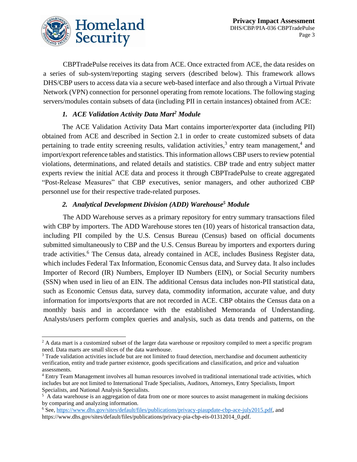

 $\overline{a}$ 

CBPTradePulse receives its data from ACE. Once extracted from ACE, the data resides on a series of sub-system/reporting staging servers (described below). This framework allows DHS/CBP users to access data via a secure web-based interface and also through a Virtual Private Network (VPN) connection for personnel operating from remote locations. The following staging servers/modules contain subsets of data (including PII in certain instances) obtained from ACE:

#### *1. ACE Validation Activity Data Mart<sup>2</sup> Module*

The ACE Validation Activity Data Mart contains importer/exporter data (including PII) obtained from ACE and described in Section 2.1 in order to create customized subsets of data pertaining to trade entity screening results, validation activities,<sup>3</sup> entry team management,<sup>4</sup> and import/export reference tables and statistics. This information allows CBP users to review potential violations, determinations, and related details and statistics. CBP trade and entry subject matter experts review the initial ACE data and process it through CBPTradePulse to create aggregated "Post-Release Measures" that CBP executives, senior managers, and other authorized CBP personnel use for their respective trade-related purposes.

### *2. Analytical Development Division (ADD) Warehouse<sup>5</sup> Module*

The ADD Warehouse serves as a primary repository for entry summary transactions filed with CBP by importers. The ADD Warehouse stores ten (10) years of historical transaction data, including PII compiled by the U.S. Census Bureau (Census) based on official documents submitted simultaneously to CBP and the U.S. Census Bureau by importers and exporters during trade activities.<sup>6</sup> The Census data, already contained in ACE, includes Business Register data, which includes Federal Tax Information, Economic Census data, and Survey data. It also includes Importer of Record (IR) Numbers, Employer ID Numbers (EIN), or Social Security numbers (SSN) when used in lieu of an EIN. The additional Census data includes non-PII statistical data, such as Economic Census data, survey data, commodity information, accurate value, and duty information for imports/exports that are not recorded in ACE. CBP obtains the Census data on a monthly basis and in accordance with the established Memoranda of Understanding. Analysts/users perform complex queries and analysis, such as data trends and patterns, on the

<sup>&</sup>lt;sup>2</sup> A data mart is a customized subset of the larger data warehouse or repository compiled to meet a specific program need. Data marts are small slices of the data warehouse.

<sup>&</sup>lt;sup>3</sup> Trade validation activities include but are not limited to fraud detection, merchandise and document authenticity verification, entity and trade partner existence, goods specifications and classification, and price and valuation assessments.

<sup>4</sup> Entry Team Management involves all human resources involved in traditional international trade activities, which includes but are not limited to International Trade Specialists, Auditors, Attorneys, Entry Specialists, Import Specialists, and National Analysis Specialists.

<sup>&</sup>lt;sup>5</sup> A data warehouse is an aggregation of data from one or more sources to assist management in making decisions by comparing and analyzing information.

<sup>6</sup> See, [https://www.dhs.gov/sites/default/files/publications/privacy-piaupdate-cbp-ace-july2015.pdf,](https://www.dhs.gov/sites/default/files/publications/privacy-piaupdate-cbp-ace-july2015.pdf) and https://www.dhs.gov/sites/default/files/publications/privacy-pia-cbp-eis-01312014\_0.pdf.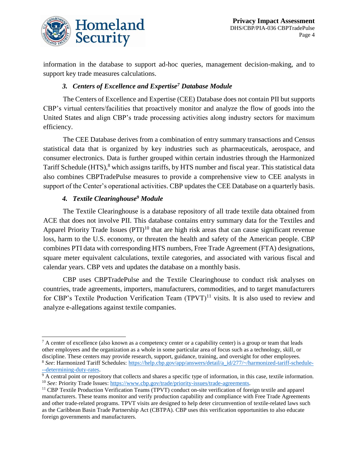

information in the database to support ad-hoc queries, management decision-making, and to support key trade measures calculations.

#### *3. Centers of Excellence and Expertise<sup>7</sup> Database Module*

The Centers of Excellence and Expertise (CEE) Database does not contain PII but supports CBP's virtual centers/facilities that proactively monitor and analyze the flow of goods into the United States and align CBP's trade processing activities along industry sectors for maximum efficiency.

The CEE Database derives from a combination of entry summary transactions and Census statistical data that is organized by key industries such as pharmaceuticals, aerospace, and consumer electronics. Data is further grouped within certain industries through the Harmonized Tariff Schedule (HTS),<sup>8</sup> which assigns tariffs, by HTS number and fiscal year. This statistical data also combines CBPTradePulse measures to provide a comprehensive view to CEE analysts in support of the Center's operational activities. CBP updates the CEE Database on a quarterly basis.

#### *4. Textile Clearinghouse<sup>9</sup> Module*

 $\overline{a}$ 

The Textile Clearinghouse is a database repository of all trade textile data obtained from ACE that does not involve PII. This database contains entry summary data for the Textiles and Apparel Priority Trade Issues  $(PTI)^{10}$  that are high risk areas that can cause significant revenue loss, harm to the U.S. economy, or threaten the health and safety of the American people. CBP combines PTI data with corresponding HTS numbers, Free Trade Agreement (FTA) designations, square meter equivalent calculations, textile categories, and associated with various fiscal and calendar years. CBP vets and updates the database on a monthly basis.

CBP uses CBPTradePulse and the Textile Clearinghouse to conduct risk analyses on countries, trade agreements, importers, manufacturers, commodities, and to target manufacturers for CBP's Textile Production Verification Team  $(TPVT)^{11}$  visits. It is also used to review and analyze e-allegations against textile companies.

 $7$  A center of excellence (also known as a competency center or a capability center) is a group or team that leads other employees and the organization as a whole in some particular area of focus such as a technology, skill, or discipline. These centers may provide research, support, guidance, training, and oversight for other employees. <sup>8</sup> *See*: Harmonized Tariff Schedules: [https://help.cbp.gov/app/answers/detail/a\\_id/277/~/harmonized-tariff-schedule-](https://help.cbp.gov/app/answers/detail/a_id/277/~/harmonized-tariff-schedule---determining-duty-rates) --determining-duty-rates.

 $9A$  central point or repository that collects and shares a specific type of information, in this case, textile information. <sup>10</sup> *See*: Priority Trade Issues: [https://www.cbp.gov/trade/priority-issues/trade-agreements.](https://www.cbp.gov/trade/priority-issues/trade-agreements)

<sup>11</sup> CBP Textile Production Verification Teams (TPVT) conduct on-site verification of foreign textile and apparel manufacturers. These teams monitor and verify production capability and compliance with Free Trade Agreements and other trade-related programs. TPVT visits are designed to help deter circumvention of textile-related laws such as the Caribbean Basin Trade Partnership Act (CBTPA). CBP uses this verification opportunities to also educate foreign governments and manufacturers.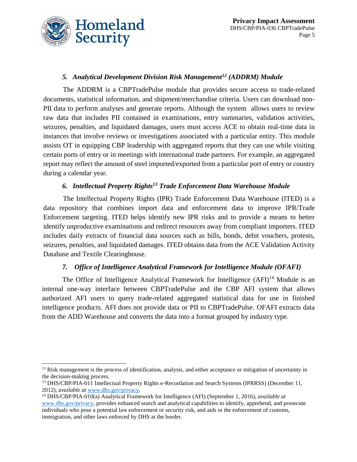

#### *5. Analytical Development Division Risk Management<sup>12</sup> (ADDRM) Module*

The ADDRM is a CBPTradePulse module that provides secure access to trade-related documents, statistical information, and shipment/merchandise criteria. Users can download non-PII data to perform analyses and generate reports. Although the system allows users to review raw data that includes PII contained in examinations, entry summaries, validation activities, seizures, penalties, and liquidated damages, users must access ACE to obtain real-time data in instances that involve reviews or investigations associated with a particular entity. This module assists OT in equipping CBP leadership with aggregated reports that they can use while visiting certain ports of entry or in meetings with international trade partners. For example, an aggregated report may reflect the amount of steel imported/exported from a particular port of entry or country during a calendar year.

#### *6. Intellectual Property Rights<sup>13</sup> Trade Enforcement Data Warehouse Module*

The Intellectual Property Rights (IPR) Trade Enforcement Data Warehouse (ITED) is a data repository that combines import data and enforcement data to improve IPR/Trade Enforcement targeting. ITED helps identify new IPR risks and to provide a means to better identify unproductive examinations and redirect resources away from compliant importers. ITED includes daily extracts of financial data sources such as bills, bonds, debit vouchers, protests, seizures, penalties, and liquidated damages. ITED obtains data from the ACE Validation Activity Database and Textile Clearinghouse.

#### *7. Office of Intelligence Analytical Framework for Intelligence Module (OFAFI)*

The Office of Intelligence Analytical Framework for Intelligence  $(AFI)^{14}$  Module is an internal one-way interface between CBPTradePulse and the CBP AFI system that allows authorized AFI users to query trade-related aggregated statistical data for use in finished intelligence products. AFI does not provide data or PII to CBPTradePulse. OFAFI extracts data from the ADD Warehouse and converts the data into a format grouped by industry type.

 $\overline{a}$  $12$  Risk management is the process of identification, analysis, and either acceptance or mitigation of uncertainty in the decision-making process.

<sup>13</sup> DHS/CBP/PIA-011 Intellectual Property Rights e-Recordation and Search Systems (IPRRSS) (December 11, 2012), *available at* [www.dhs.gov/privacy.](http://www.dhs.gov/privacy)

<sup>14</sup> DHS/CBP/PIA-010(a) Analytical Framework for Intelligence (AFI) (September 1, 2016), *available at*  [www.dhs.gov/privacy,](http://www.dhs.gov/privacy) provides enhanced search and analytical capabilities to identify, apprehend, and prosecute individuals who pose a potential law enforcement or security risk, and aids in the enforcement of customs, immigration, and other laws enforced by DHS at the border.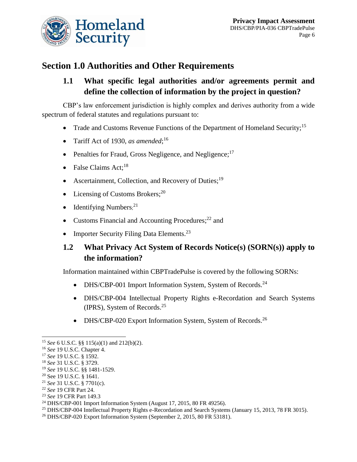

# **Section 1.0 Authorities and Other Requirements**

### **1.1 What specific legal authorities and/or agreements permit and define the collection of information by the project in question?**

CBP's law enforcement jurisdiction is highly complex and derives authority from a wide spectrum of federal statutes and regulations pursuant to:

- Trade and Customs Revenue Functions of the Department of Homeland Security;<sup>15</sup>
- Tariff Act of 1930, *as amended*; 16
- Penalties for Fraud, Gross Negligence, and Negligence; $17$
- False Claims Act;<sup>18</sup>
- Ascertainment, Collection, and Recovery of Duties;<sup>19</sup>
- Licensing of Customs Brokers;<sup>20</sup>
- $\bullet$  Identifying Numbers;<sup>21</sup>
- Customs Financial and Accounting Procedures; $^{22}$  and
- Importer Security Filing Data Elements.<sup>23</sup>

### **1.2 What Privacy Act System of Records Notice(s) (SORN(s)) apply to the information?**

Information maintained within CBPTradePulse is covered by the following SORNs:

- DHS/CBP-001 Import Information System, System of Records.<sup>24</sup>
- DHS/CBP-004 Intellectual Property Rights e-Recordation and Search Systems (IPRS), System of Records. 25
- DHS/CBP-020 Export Information System, System of Records.<sup>26</sup>

 $\overline{a}$ 

<sup>15</sup> *See* 6 U.S.C. §§ 115(a)(1) and 212(b)(2).

<sup>16</sup> *See* 19 U.S.C. Chapter 4.

<sup>17</sup> *See* 19 U.S.C. § 1592.

<sup>18</sup> *See* 31 U.S.C. § 3729.

<sup>19</sup> *See* 19 U.S.C. §§ 1481-1529.

<sup>20</sup> See 19 U.S.C. § 1641.

<sup>21</sup> *See* 31 U.S.C. § 7701(c).

<sup>22</sup> *See* 19 CFR Part 24.

<sup>23</sup> *See* 19 CFR Part 149.3

<sup>&</sup>lt;sup>24</sup> DHS/CBP-001 Import Information System (August 17, 2015, 80 FR 49256).

<sup>&</sup>lt;sup>25</sup> DHS/CBP-004 Intellectual Property Rights e-Recordation and Search Systems (January 15, 2013, 78 FR 3015).

<sup>26</sup> DHS/CBP-020 Export Information System (September 2, 2015, 80 FR 53181).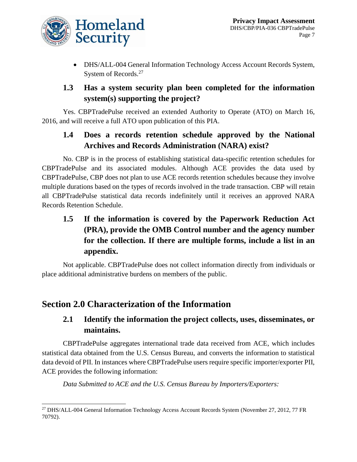

 DHS/ALL-004 General Information Technology Access Account Records System, System of Records.<sup>27</sup>

### **1.3 Has a system security plan been completed for the information system(s) supporting the project?**

Yes. CBPTradePulse received an extended Authority to Operate (ATO) on March 16, 2016, and will receive a full ATO upon publication of this PIA.

### **1.4 Does a records retention schedule approved by the National Archives and Records Administration (NARA) exist?**

No. CBP is in the process of establishing statistical data-specific retention schedules for CBPTradePulse and its associated modules. Although ACE provides the data used by CBPTradePulse, CBP does not plan to use ACE records retention schedules because they involve multiple durations based on the types of records involved in the trade transaction. CBP will retain all CBPTradePulse statistical data records indefinitely until it receives an approved NARA Records Retention Schedule.

# **1.5 If the information is covered by the Paperwork Reduction Act (PRA), provide the OMB Control number and the agency number for the collection. If there are multiple forms, include a list in an appendix.**

Not applicable. CBPTradePulse does not collect information directly from individuals or place additional administrative burdens on members of the public.

# **Section 2.0 Characterization of the Information**

### **2.1 Identify the information the project collects, uses, disseminates, or maintains.**

CBPTradePulse aggregates international trade data received from ACE, which includes statistical data obtained from the U.S. Census Bureau, and converts the information to statistical data devoid of PII. In instances where CBPTradePulse users require specific importer/exporter PII, ACE provides the following information:

*Data Submitted to ACE and the U.S. Census Bureau by Importers/Exporters:*

 $\overline{a}$ <sup>27</sup> DHS/ALL-004 General Information Technology Access Account Records System (November 27, 2012, 77 FR 70792).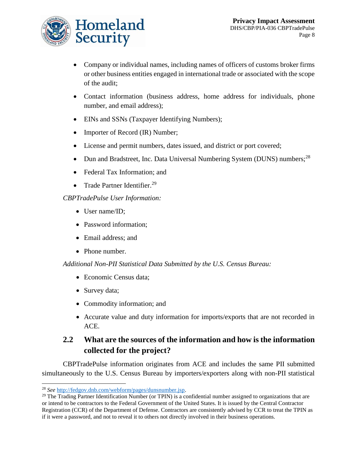

- Company or individual names, including names of officers of customs broker firms or other business entities engaged in international trade or associated with the scope of the audit;
- Contact information (business address, home address for individuals, phone number, and email address);
- EINs and SSNs (Taxpayer Identifying Numbers);
- Importer of Record (IR) Number;
- License and permit numbers, dates issued, and district or port covered;
- Dun and Bradstreet, Inc. Data Universal Numbering System (DUNS) numbers;<sup>28</sup>
- Federal Tax Information; and
- Trade Partner Identifier.<sup>29</sup>

#### *CBPTradePulse User Information:*

- User name/ID;
- Password information;
- Email address; and
- Phone number.

*Additional Non-PII Statistical Data Submitted by the U.S. Census Bureau:*

- Economic Census data:
- Survey data;
- Commodity information; and
- Accurate value and duty information for imports/exports that are not recorded in ACE.

### **2.2 What are the sources of the information and how is the information collected for the project?**

CBPTradePulse information originates from ACE and includes the same PII submitted simultaneously to the U.S. Census Bureau by importers/exporters along with non-PII statistical

 $\overline{a}$ 

<sup>28</sup> *See* [http://fedgov.dnb.com/webform/pages/dunsnumber.jsp.](http://fedgov.dnb.com/webform/pages/dunsnumber.jsp)

 $^{29}$  The Trading Partner Identification Number (or TPIN) is a confidential number assigned to organizations that are or intend to be contractors to the Federal Government of the United States. It is issued by the Central Contractor Registration (CCR) of the Department of Defense. Contractors are consistently advised by CCR to treat the TPIN as if it were a password, and not to reveal it to others not directly involved in their business operations.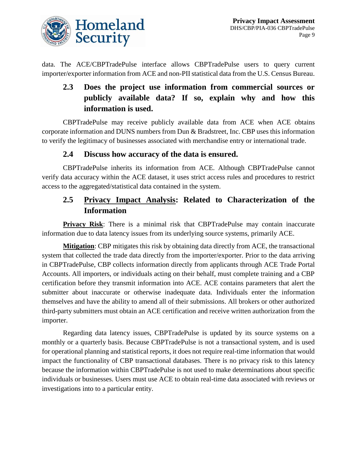

data. The ACE/CBPTradePulse interface allows CBPTradePulse users to query current importer/exporter information from ACE and non-PII statistical data from the U.S. Census Bureau.

# **2.3 Does the project use information from commercial sources or publicly available data? If so, explain why and how this information is used.**

CBPTradePulse may receive publicly available data from ACE when ACE obtains corporate information and DUNS numbers from Dun & Bradstreet, Inc. CBP uses this information to verify the legitimacy of businesses associated with merchandise entry or international trade.

#### **2.4 Discuss how accuracy of the data is ensured.**

CBPTradePulse inherits its information from ACE. Although CBPTradePulse cannot verify data accuracy within the ACE dataset, it uses strict access rules and procedures to restrict access to the aggregated/statistical data contained in the system.

### **2.5 Privacy Impact Analysis: Related to Characterization of the Information**

**Privacy Risk:** There is a minimal risk that CBPTradePulse may contain inaccurate information due to data latency issues from its underlying source systems, primarily ACE.

**Mitigation**: CBP mitigates this risk by obtaining data directly from ACE, the transactional system that collected the trade data directly from the importer/exporter. Prior to the data arriving in CBPTradePulse, CBP collects information directly from applicants through ACE Trade Portal Accounts. All importers, or individuals acting on their behalf, must complete training and a CBP certification before they transmit information into ACE. ACE contains parameters that alert the submitter about inaccurate or otherwise inadequate data. Individuals enter the information themselves and have the ability to amend all of their submissions. All brokers or other authorized third-party submitters must obtain an ACE certification and receive written authorization from the importer.

Regarding data latency issues, CBPTradePulse is updated by its source systems on a monthly or a quarterly basis. Because CBPTradePulse is not a transactional system, and is used for operational planning and statistical reports, it does not require real-time information that would impact the functionality of CBP transactional databases. There is no privacy risk to this latency because the information within CBPTradePulse is not used to make determinations about specific individuals or businesses. Users must use ACE to obtain real-time data associated with reviews or investigations into to a particular entity.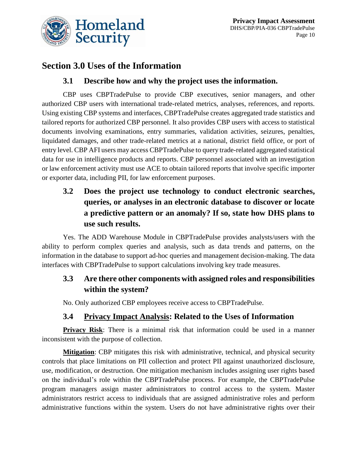



### **Section 3.0 Uses of the Information**

### **3.1 Describe how and why the project uses the information.**

CBP uses CBPTradePulse to provide CBP executives, senior managers, and other authorized CBP users with international trade-related metrics, analyses, references, and reports. Using existing CBP systems and interfaces, CBPTradePulse creates aggregated trade statistics and tailored reports for authorized CBP personnel. It also provides CBP users with access to statistical documents involving examinations, entry summaries, validation activities, seizures, penalties, liquidated damages, and other trade-related metrics at a national, district field office, or port of entry level. CBP AFI users may access CBPTradePulse to query trade-related aggregated statistical data for use in intelligence products and reports. CBP personnel associated with an investigation or law enforcement activity must use ACE to obtain tailored reports that involve specific importer or exporter data, including PII, for law enforcement purposes.

**3.2 Does the project use technology to conduct electronic searches, queries, or analyses in an electronic database to discover or locate a predictive pattern or an anomaly? If so, state how DHS plans to use such results.**

Yes. The ADD Warehouse Module in CBPTradePulse provides analysts/users with the ability to perform complex queries and analysis, such as data trends and patterns, on the information in the database to support ad-hoc queries and management decision-making. The data interfaces with CBPTradePulse to support calculations involving key trade measures.

### **3.3 Are there other components with assigned roles and responsibilities within the system?**

No. Only authorized CBP employees receive access to CBPTradePulse.

### **3.4 Privacy Impact Analysis: Related to the Uses of Information**

**Privacy Risk**: There is a minimal risk that information could be used in a manner inconsistent with the purpose of collection.

**Mitigation**: CBP mitigates this risk with administrative, technical, and physical security controls that place limitations on PII collection and protect PII against unauthorized disclosure, use, modification, or destruction. One mitigation mechanism includes assigning user rights based on the individual's role within the CBPTradePulse process. For example, the CBPTradePulse program managers assign master administrators to control access to the system. Master administrators restrict access to individuals that are assigned administrative roles and perform administrative functions within the system. Users do not have administrative rights over their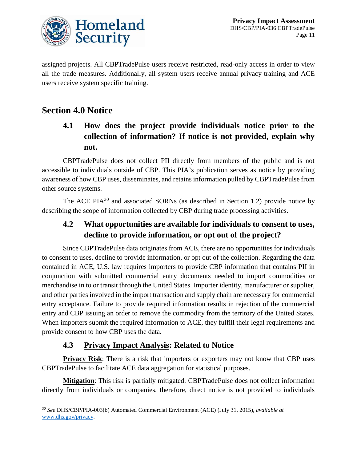

assigned projects. All CBPTradePulse users receive restricted, read-only access in order to view all the trade measures. Additionally, all system users receive annual privacy training and ACE users receive system specific training.

# **Section 4.0 Notice**

 $\overline{a}$ 

# **4.1 How does the project provide individuals notice prior to the collection of information? If notice is not provided, explain why not.**

CBPTradePulse does not collect PII directly from members of the public and is not accessible to individuals outside of CBP. This PIA's publication serves as notice by providing awareness of how CBP uses, disseminates, and retains information pulled by CBPTradePulse from other source systems.

The ACE PIA $30$  and associated SORNs (as described in Section 1.2) provide notice by describing the scope of information collected by CBP during trade processing activities.

### **4.2 What opportunities are available for individuals to consent to uses, decline to provide information, or opt out of the project?**

Since CBPTradePulse data originates from ACE, there are no opportunities for individuals to consent to uses, decline to provide information, or opt out of the collection. Regarding the data contained in ACE, U.S. law requires importers to provide CBP information that contains PII in conjunction with submitted commercial entry documents needed to import commodities or merchandise in to or transit through the United States. Importer identity, manufacturer or supplier, and other parties involved in the import transaction and supply chain are necessary for commercial entry acceptance. Failure to provide required information results in rejection of the commercial entry and CBP issuing an order to remove the commodity from the territory of the United States. When importers submit the required information to ACE, they fulfill their legal requirements and provide consent to how CBP uses the data.

### **4.3 Privacy Impact Analysis: Related to Notice**

**Privacy Risk:** There is a risk that importers or exporters may not know that CBP uses CBPTradePulse to facilitate ACE data aggregation for statistical purposes.

**Mitigation**: This risk is partially mitigated. CBPTradePulse does not collect information directly from individuals or companies, therefore, direct notice is not provided to individuals

<sup>30</sup> *See* DHS/CBP/PIA-003(b) Automated Commercial Environment (ACE) (July 31, 2015), *available at* [www.dhs.gov/privacy.](http://www.dhs.gov/privacy)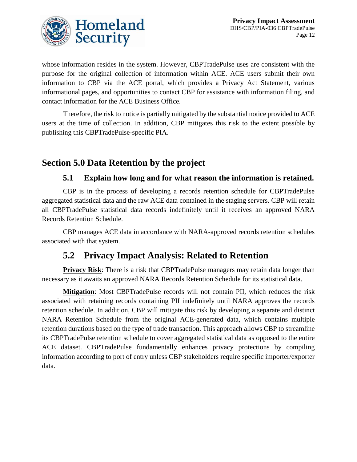

whose information resides in the system. However, CBPTradePulse uses are consistent with the purpose for the original collection of information within ACE. ACE users submit their own information to CBP via the ACE portal, which provides a Privacy Act Statement, various informational pages, and opportunities to contact CBP for assistance with information filing, and contact information for the ACE Business Office.

Therefore, the risk to notice is partially mitigated by the substantial notice provided to ACE users at the time of collection. In addition, CBP mitigates this risk to the extent possible by publishing this CBPTradePulse-specific PIA.

# **Section 5.0 Data Retention by the project**

### **5.1 Explain how long and for what reason the information is retained.**

CBP is in the process of developing a records retention schedule for CBPTradePulse aggregated statistical data and the raw ACE data contained in the staging servers. CBP will retain all CBPTradePulse statistical data records indefinitely until it receives an approved NARA Records Retention Schedule.

CBP manages ACE data in accordance with NARA-approved records retention schedules associated with that system.

# **5.2 Privacy Impact Analysis: Related to Retention**

**Privacy Risk:** There is a risk that CBPTradePulse managers may retain data longer than necessary as it awaits an approved NARA Records Retention Schedule for its statistical data.

**Mitigation**: Most CBPTradePulse records will not contain PII, which reduces the risk associated with retaining records containing PII indefinitely until NARA approves the records retention schedule. In addition, CBP will mitigate this risk by developing a separate and distinct NARA Retention Schedule from the original ACE-generated data, which contains multiple retention durations based on the type of trade transaction. This approach allows CBP to streamline its CBPTradePulse retention schedule to cover aggregated statistical data as opposed to the entire ACE dataset. CBPTradePulse fundamentally enhances privacy protections by compiling information according to port of entry unless CBP stakeholders require specific importer/exporter data.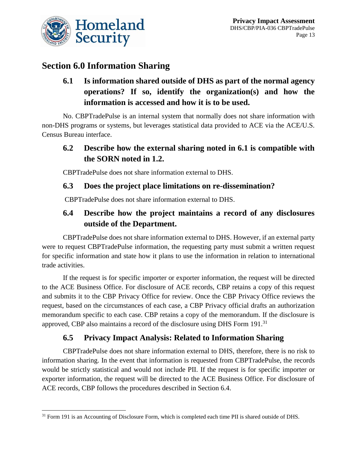

### **Section 6.0 Information Sharing**

# **6.1 Is information shared outside of DHS as part of the normal agency operations? If so, identify the organization(s) and how the information is accessed and how it is to be used.**

No. CBPTradePulse is an internal system that normally does not share information with non-DHS programs or systems, but leverages statistical data provided to ACE via the ACE/U.S. Census Bureau interface.

### **6.2 Describe how the external sharing noted in 6.1 is compatible with the SORN noted in 1.2.**

CBPTradePulse does not share information external to DHS.

### **6.3 Does the project place limitations on re-dissemination?**

CBPTradePulse does not share information external to DHS.

### **6.4 Describe how the project maintains a record of any disclosures outside of the Department.**

CBPTradePulse does not share information external to DHS. However, if an external party were to request CBPTradePulse information, the requesting party must submit a written request for specific information and state how it plans to use the information in relation to international trade activities.

If the request is for specific importer or exporter information, the request will be directed to the ACE Business Office. For disclosure of ACE records, CBP retains a copy of this request and submits it to the CBP Privacy Office for review. Once the CBP Privacy Office reviews the request, based on the circumstances of each case, a CBP Privacy official drafts an authorization memorandum specific to each case. CBP retains a copy of the memorandum. If the disclosure is approved, CBP also maintains a record of the disclosure using DHS Form 191.<sup>31</sup>

### **6.5 Privacy Impact Analysis: Related to Information Sharing**

CBPTradePulse does not share information external to DHS, therefore, there is no risk to information sharing. In the event that information is requested from CBPTradePulse, the records would be strictly statistical and would not include PII. If the request is for specific importer or exporter information, the request will be directed to the ACE Business Office. For disclosure of ACE records, CBP follows the procedures described in Section 6.4.

l <sup>31</sup> Form 191 is an Accounting of Disclosure Form, which is completed each time PII is shared outside of DHS.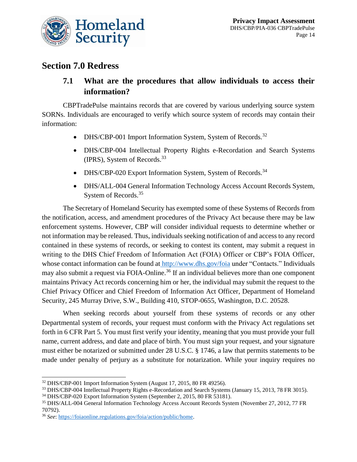

### **Section 7.0 Redress**

### **7.1 What are the procedures that allow individuals to access their information?**

CBPTradePulse maintains records that are covered by various underlying source system SORNs. Individuals are encouraged to verify which source system of records may contain their information:

- DHS/CBP-001 Import Information System, System of Records.<sup>32</sup>
- DHS/CBP-004 Intellectual Property Rights e-Recordation and Search Systems (IPRS), System of Records. 33
- DHS/CBP-020 Export Information System, System of Records.<sup>34</sup>
- DHS/ALL-004 General Information Technology Access Account Records System, System of Records.<sup>35</sup>

The Secretary of Homeland Security has exempted some of these Systems of Records from the notification, access, and amendment procedures of the Privacy Act because there may be law enforcement systems. However, CBP will consider individual requests to determine whether or not information may be released. Thus, individuals seeking notification of and access to any record contained in these systems of records, or seeking to contest its content, may submit a request in writing to the DHS Chief Freedom of Information Act (FOIA) Officer or CBP's FOIA Officer, whose contact information can be found at <http://www.dhs.gov/foia> under "Contacts." Individuals may also submit a request via FOIA-Online.<sup>36</sup> If an individual believes more than one component maintains Privacy Act records concerning him or her, the individual may submit the request to the Chief Privacy Officer and Chief Freedom of Information Act Officer, Department of Homeland Security, 245 Murray Drive, S.W., Building 410, STOP-0655, Washington, D.C. 20528.

When seeking records about yourself from these systems of records or any other Departmental system of records, your request must conform with the Privacy Act regulations set forth in 6 CFR Part 5. You must first verify your identity, meaning that you must provide your full name, current address, and date and place of birth. You must sign your request, and your signature must either be notarized or submitted under 28 U.S.C. § 1746, a law that permits statements to be made under penalty of perjury as a substitute for notarization. While your inquiry requires no

 $\overline{a}$ <sup>32</sup> DHS/CBP-001 Import Information System (August 17, 2015, 80 FR 49256).

<sup>33</sup> DHS/CBP-004 Intellectual Property Rights e-Recordation and Search Systems (January 15, 2013, 78 FR 3015).

<sup>34</sup> DHS/CBP-020 Export Information System (September 2, 2015, 80 FR 53181).

<sup>35</sup> DHS/ALL-004 General Information Technology Access Account Records System (November 27, 2012, 77 FR 70792).

<sup>36</sup> *See*: [https://foiaonline.regulations.gov/foia/action/public/home.](https://foiaonline.regulations.gov/foia/action/public/home)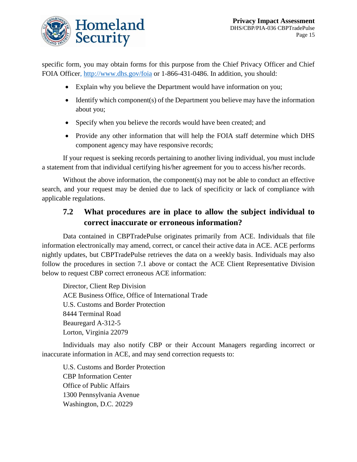

specific form, you may obtain forms for this purpose from the Chief Privacy Officer and Chief FOIA Office[r, http://www.dhs.gov/foia](http://www.dhs.gov/foia) or 1-866-431-0486. In addition, you should:

- Explain why you believe the Department would have information on you;
- $\bullet$  Identify which component(s) of the Department you believe may have the information about you;
- Specify when you believe the records would have been created; and
- Provide any other information that will help the FOIA staff determine which DHS component agency may have responsive records;

If your request is seeking records pertaining to another living individual, you must include a statement from that individual certifying his/her agreement for you to access his/her records.

Without the above information, the component(s) may not be able to conduct an effective search, and your request may be denied due to lack of specificity or lack of compliance with applicable regulations.

### **7.2 What procedures are in place to allow the subject individual to correct inaccurate or erroneous information?**

Data contained in CBPTradePulse originates primarily from ACE. Individuals that file information electronically may amend, correct, or cancel their active data in ACE. ACE performs nightly updates, but CBPTradePulse retrieves the data on a weekly basis. Individuals may also follow the procedures in section 7.1 above or contact the ACE Client Representative Division below to request CBP correct erroneous ACE information:

Director, Client Rep Division ACE Business Office, Office of International Trade U.S. Customs and Border Protection 8444 Terminal Road Beauregard A-312-5 Lorton, Virginia 22079

Individuals may also notify CBP or their Account Managers regarding incorrect or inaccurate information in ACE, and may send correction requests to:

U.S. Customs and Border Protection CBP Information Center Office of Public Affairs 1300 Pennsylvania Avenue Washington, D.C. 20229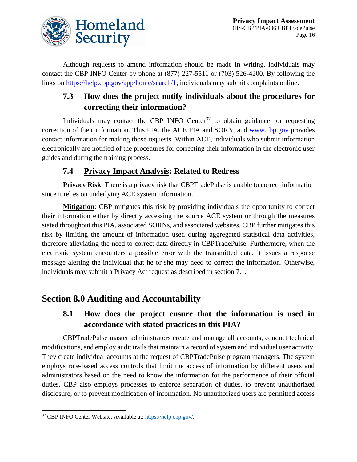

Although requests to amend information should be made in writing, individuals may contact the CBP INFO Center by phone at (877) 227-5511 or (703) 526-4200. By following the links on [https://help.cbp.gov/app/home/search/1,](https://help.cbp.gov/app/home/search/1) individuals may submit complaints online.

## **7.3 How does the project notify individuals about the procedures for correcting their information?**

Individuals may contact the CBP INFO Center<sup>37</sup> to obtain guidance for requesting correction of their information. This PIA, the ACE PIA and SORN, and [www.cbp.gov](http://www.cbp.gov/) provides contact information for making those requests. Within ACE, individuals who submit information electronically are notified of the procedures for correcting their information in the electronic user guides and during the training process.

### **7.4 Privacy Impact Analysis: Related to Redress**

**Privacy Risk:** There is a privacy risk that CBPTradePulse is unable to correct information since it relies on underlying ACE system information.

**Mitigation**: CBP mitigates this risk by providing individuals the opportunity to correct their information either by directly accessing the source ACE system or through the measures stated throughout this PIA, associated SORNs, and associated websites. CBP further mitigates this risk by limiting the amount of information used during aggregated statistical data activities, therefore alleviating the need to correct data directly in CBPTradePulse. Furthermore, when the electronic system encounters a possible error with the transmitted data, it issues a response message alerting the individual that he or she may need to correct the information. Otherwise, individuals may submit a Privacy Act request as described in section 7.1.

# **Section 8.0 Auditing and Accountability**

### **8.1 How does the project ensure that the information is used in accordance with stated practices in this PIA?**

CBPTradePulse master administrators create and manage all accounts, conduct technical modifications, and employ audit trails that maintain a record of system and individual user activity. They create individual accounts at the request of CBPTradePulse program managers. The system employs role-based access controls that limit the access of information by different users and administrators based on the need to know the information for the performance of their official duties. CBP also employs processes to enforce separation of duties, to prevent unauthorized disclosure, or to prevent modification of information. No unauthorized users are permitted access

l

<sup>37</sup> CBP INFO Center Website. Available at: [https://help.cbp.gov/.](https://help.cbp.gov/)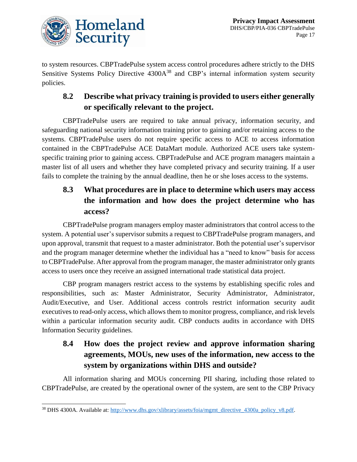

to system resources. CBPTradePulse system access control procedures adhere strictly to the DHS Sensitive Systems Policy Directive 4300A<sup>38</sup> and CBP's internal information system security policies.

## **8.2 Describe what privacy training is provided to users either generally or specifically relevant to the project.**

CBPTradePulse users are required to take annual privacy, information security, and safeguarding national security information training prior to gaining and/or retaining access to the systems. CBPTradePulse users do not require specific access to ACE to access information contained in the CBPTradePulse ACE DataMart module. Authorized ACE users take systemspecific training prior to gaining access. CBPTradePulse and ACE program managers maintain a master list of all users and whether they have completed privacy and security training. If a user fails to complete the training by the annual deadline, then he or she loses access to the systems.

## **8.3 What procedures are in place to determine which users may access the information and how does the project determine who has access?**

CBPTradePulse program managers employ master administrators that control access to the system. A potential user's supervisor submits a request to CBPTradePulse program managers, and upon approval, transmit that request to a master administrator. Both the potential user's supervisor and the program manager determine whether the individual has a "need to know" basis for access to CBPTradePulse. After approval from the program manager, the master administrator only grants access to users once they receive an assigned international trade statistical data project.

CBP program managers restrict access to the systems by establishing specific roles and responsibilities, such as: Master Administrator, Security Administrator, Administrator, Audit/Executive, and User. Additional access controls restrict information security audit executives to read-only access, which allows them to monitor progress, compliance, and risk levels within a particular information security audit. CBP conducts audits in accordance with DHS Information Security guidelines.

## **8.4 How does the project review and approve information sharing agreements, MOUs, new uses of the information, new access to the system by organizations within DHS and outside?**

All information sharing and MOUs concerning PII sharing, including those related to CBPTradePulse, are created by the operational owner of the system, are sent to the CBP Privacy

 $\overline{a}$ <sup>38</sup> DHS 4300A. Available at: [http://www.dhs.gov/xlibrary/assets/foia/mgmt\\_directive\\_4300a\\_policy\\_v8.pdf.](http://www.dhs.gov/xlibrary/assets/foia/mgmt_directive_4300a_policy_v8.pdf)